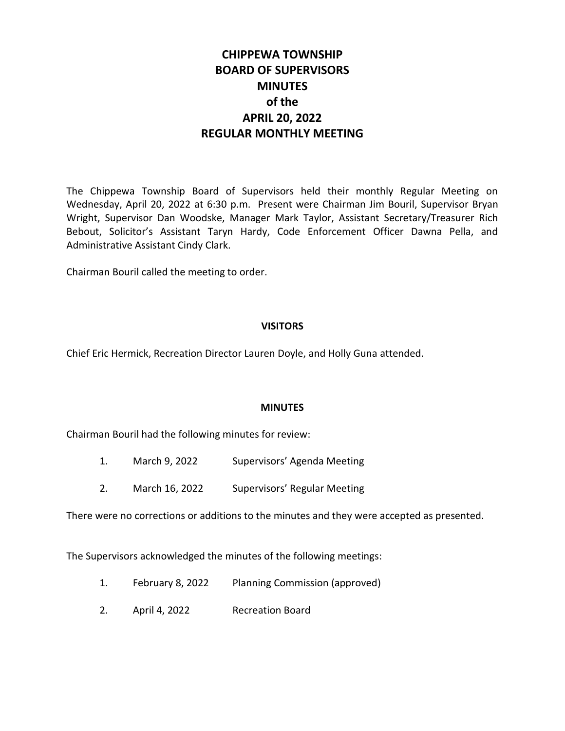# **CHIPPEWA TOWNSHIP BOARD OF SUPERVISORS MINUTES of the APRIL 20, 2022 REGULAR MONTHLY MEETING**

The Chippewa Township Board of Supervisors held their monthly Regular Meeting on Wednesday, April 20, 2022 at 6:30 p.m. Present were Chairman Jim Bouril, Supervisor Bryan Wright, Supervisor Dan Woodske, Manager Mark Taylor, Assistant Secretary/Treasurer Rich Bebout, Solicitor's Assistant Taryn Hardy, Code Enforcement Officer Dawna Pella, and Administrative Assistant Cindy Clark.

Chairman Bouril called the meeting to order.

#### **VISITORS**

Chief Eric Hermick, Recreation Director Lauren Doyle, and Holly Guna attended.

#### **MINUTES**

Chairman Bouril had the following minutes for review:

- 1. March 9, 2022 Supervisors' Agenda Meeting
- 2. March 16, 2022 Supervisors' Regular Meeting

There were no corrections or additions to the minutes and they were accepted as presented.

The Supervisors acknowledged the minutes of the following meetings:

- 1. February 8, 2022 Planning Commission (approved)
- 2. April 4, 2022 Recreation Board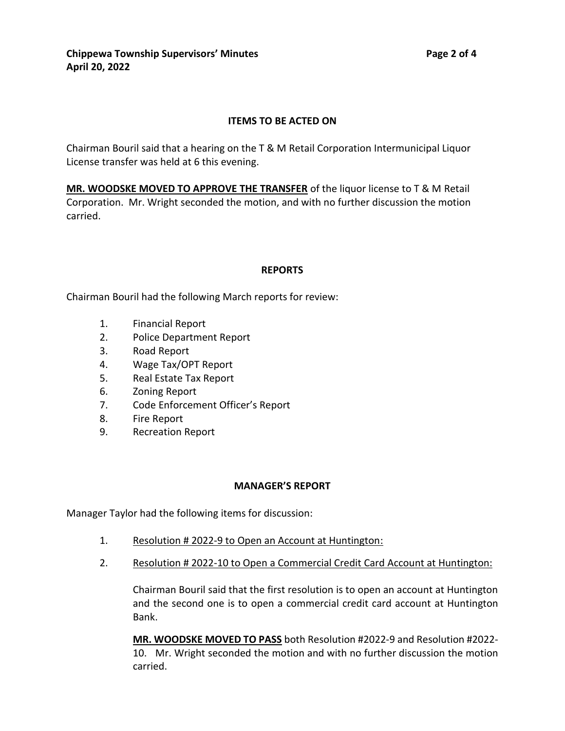## **ITEMS TO BE ACTED ON**

Chairman Bouril said that a hearing on the T & M Retail Corporation Intermunicipal Liquor License transfer was held at 6 this evening.

**MR. WOODSKE MOVED TO APPROVE THE TRANSFER** of the liquor license to T & M Retail Corporation. Mr. Wright seconded the motion, and with no further discussion the motion carried.

#### **REPORTS**

Chairman Bouril had the following March reports for review:

- 1. Financial Report
- 2. Police Department Report
- 3. Road Report
- 4. Wage Tax/OPT Report
- 5. Real Estate Tax Report
- 6. Zoning Report
- 7. Code Enforcement Officer's Report
- 8. Fire Report
- 9. Recreation Report

#### **MANAGER'S REPORT**

Manager Taylor had the following items for discussion:

- 1. Resolution # 2022-9 to Open an Account at Huntington:
- 2. Resolution # 2022-10 to Open a Commercial Credit Card Account at Huntington:

Chairman Bouril said that the first resolution is to open an account at Huntington and the second one is to open a commercial credit card account at Huntington Bank.

**MR. WOODSKE MOVED TO PASS** both Resolution #2022-9 and Resolution #2022- 10. Mr. Wright seconded the motion and with no further discussion the motion carried.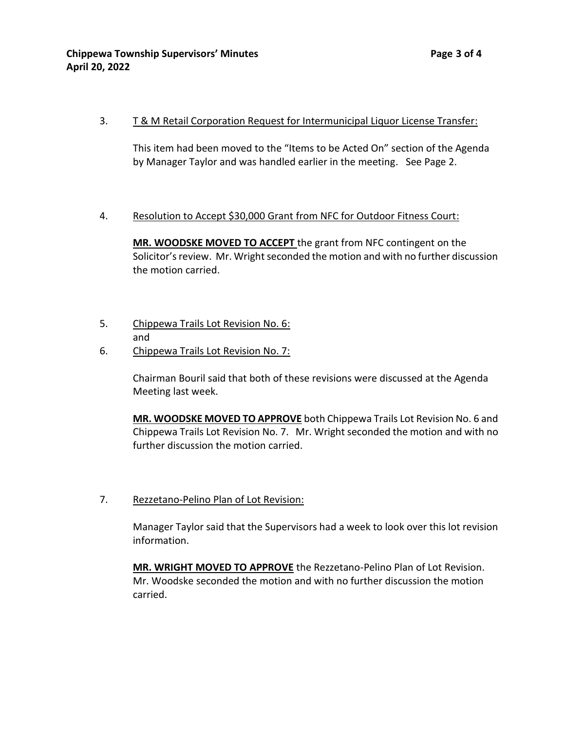## 3. T & M Retail Corporation Request for Intermunicipal Liquor License Transfer:

This item had been moved to the "Items to be Acted On" section of the Agenda by Manager Taylor and was handled earlier in the meeting. See Page 2.

#### 4. Resolution to Accept \$30,000 Grant from NFC for Outdoor Fitness Court:

**MR. WOODSKE MOVED TO ACCEPT** the grant from NFC contingent on the Solicitor's review. Mr. Wright seconded the motion and with no further discussion the motion carried.

- 5. Chippewa Trails Lot Revision No. 6: and
- 6. Chippewa Trails Lot Revision No. 7:

Chairman Bouril said that both of these revisions were discussed at the Agenda Meeting last week.

**MR. WOODSKE MOVED TO APPROVE** both Chippewa Trails Lot Revision No. 6 and Chippewa Trails Lot Revision No. 7. Mr. Wright seconded the motion and with no further discussion the motion carried.

7. Rezzetano-Pelino Plan of Lot Revision:

Manager Taylor said that the Supervisors had a week to look over this lot revision information.

**MR. WRIGHT MOVED TO APPROVE** the Rezzetano-Pelino Plan of Lot Revision. Mr. Woodske seconded the motion and with no further discussion the motion carried.